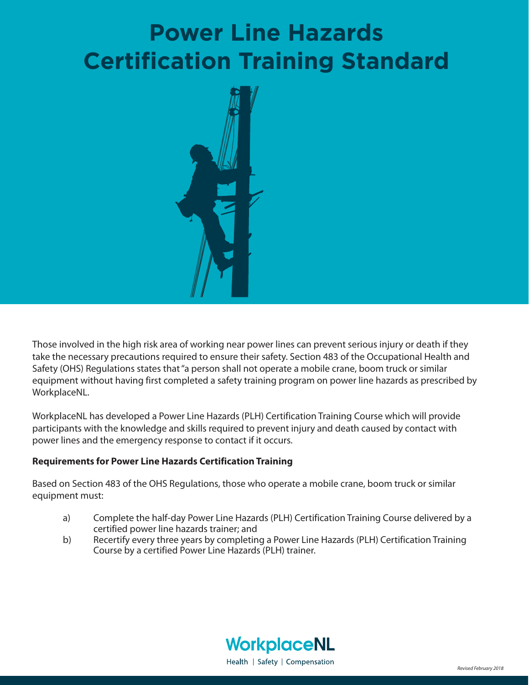# **Power Line Hazards Certification Training Standard**



Those involved in the high risk area of working near power lines can prevent serious injury or death if they take the necessary precautions required to ensure their safety. Section 483 of the Occupational Health and Safety (OHS) Regulations states that "a person shall not operate a mobile crane, boom truck or similar equipment without having first completed a safety training program on power line hazards as prescribed by WorkplaceNL.

WorkplaceNL has developed a Power Line Hazards (PLH) Certification Training Course which will provide participants with the knowledge and skills required to prevent injury and death caused by contact with power lines and the emergency response to contact if it occurs.

## **Requirements for Power Line Hazards Certification Training**

Based on Section 483 of the OHS Regulations, those who operate a mobile crane, boom truck or similar equipment must:

- a) Complete the half-day Power Line Hazards (PLH) Certification Training Course delivered by a certified power line hazards trainer; and
- b) Recertify every three years by completing a Power Line Hazards (PLH) Certification Training Course by a certified Power Line Hazards (PLH) trainer.

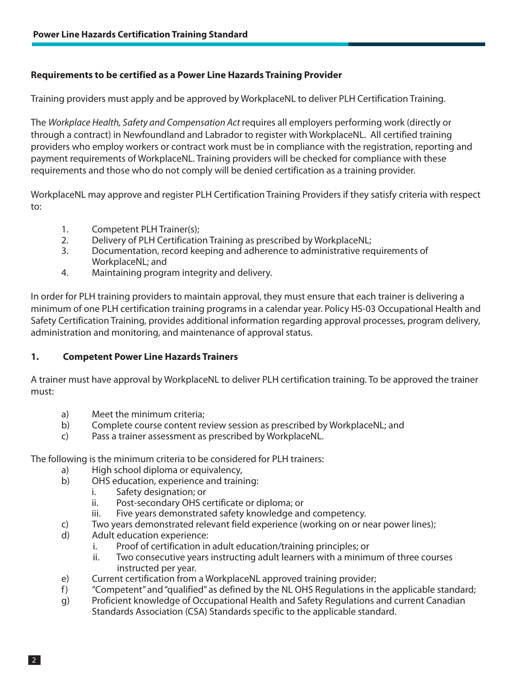## **Requirements to be certified as a Power Line Hazards Training Provider**

Training providers must apply and be approved by WorkplaceNL to deliver PLH Certification Training.

The Workplace Health, Safety and Compensation Act requires all employers performing work (directly or through a contract) in Newfoundland and Labrador to register with WorkplaceNL. All certified training providers who employ workers or contract work must be in compliance with the registration, reporting and payment requirements of WorkplaceNL. Training providers will be checked for compliance with these requirements and those who do not comply will be denied certification as a training provider.

WorkplaceNL may approve and register PLH Certification Training Providers if they satisfy criteria with respect to:

- 1. Competent PLH Trainer(s);
- 2. Delivery of PLH Certification Training as prescribed by WorkplaceNL;
- 3. Documentation, record keeping and adherence to administrative requirements of WorkplaceNL; and
- 4. Maintaining program integrity and delivery.

In order for PLH training providers to maintain approval, they must ensure that each trainer is delivering a minimum of one PLH certification training programs in a calendar year. Policy HS-03 Occupational Health and Safety Certification Training, provides additional information regarding approval processes, program delivery, administration and monitoring, and maintenance of approval status.

## **1. Competent Power Line Hazards Trainers**

A trainer must have approval by WorkplaceNL to deliver PLH certification training. To be approved the trainer must:

- a) Meet the minimum criteria;
- b) Complete course content review session as prescribed by WorkplaceNL; and
- c) Pass a trainer assessment as prescribed by WorkplaceNL.

The following is the minimum criteria to be considered for PLH trainers:

- a) High school diploma or equivalency,<br>b) OHS education, experience and train
	- OHS education, experience and training:
		- i. Safety designation; or
		- ii. Post-secondary OHS certificate or diploma; or
		- iii. Five years demonstrated safety knowledge and competency.
- c) Two years demonstrated relevant field experience (working on or near power lines);
- d) Adult education experience:
	- i. Proof of certification in adult education/training principles; or
	- ii. Two consecutive years instructing adult learners with a minimum of three courses instructed per year.
- e) Current certification from a WorkplaceNL approved training provider;
- f) "Competent" and "qualified" as defined by the NL OHS Regulations in the applicable standard;
- g) Proficient knowledge of Occupational Health and Safety Regulations and current Canadian Standards Association (CSA) Standards specific to the applicable standard.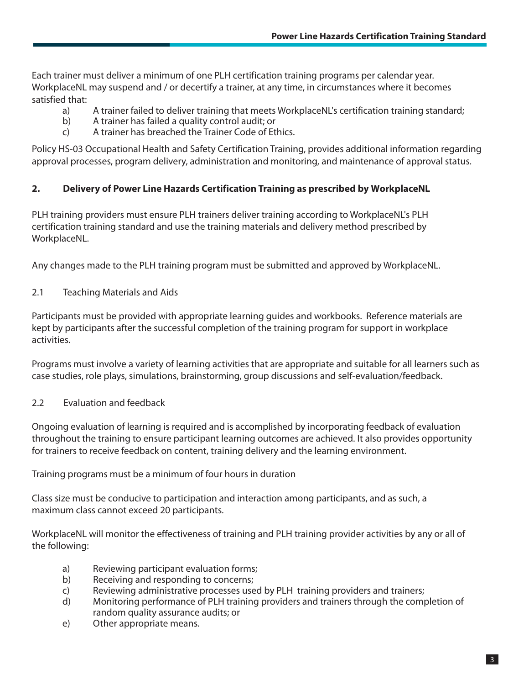Each trainer must deliver a minimum of one PLH certification training programs per calendar year. WorkplaceNL may suspend and / or decertify a trainer, at any time, in circumstances where it becomes satisfied that:

- a) A trainer failed to deliver training that meets WorkplaceNL's certification training standard;
- b) A trainer has failed a quality control audit; or
- c) A trainer has breached the Trainer Code of Ethics.

Policy HS-03 Occupational Health and Safety Certification Training, provides additional information regarding approval processes, program delivery, administration and monitoring, and maintenance of approval status.

# 2. Delivery of Power Line Hazards Certification Training as prescribed by WorkplaceNL

PLH training providers must ensure PLH trainers deliver training according to WorkplaceNL's PLH certification training standard and use the training materials and delivery method prescribed by WorkplaceNL.

Any changes made to the PLH training program must be submitted and approved by WorkplaceNL.

2.1 Teaching Materials and Aids

Participants must be provided with appropriate learning guides and workbooks. Reference materials are kept by participants after the successful completion of the training program for support in workplace activities.

Programs must involve a variety of learning activities that are appropriate and suitable for all learners such as case studies, role plays, simulations, brainstorming, group discussions and self-evaluation/feedback.

2.2 Evaluation and feedback

Ongoing evaluation of learning is required and is accomplished by incorporating feedback of evaluation throughout the training to ensure participant learning outcomes are achieved. It also provides opportunity for trainers to receive feedback on content, training delivery and the learning environment.

Training programs must be a minimum of four hours in duration

Class size must be conducive to participation and interaction among participants, and as such, a maximum class cannot exceed 20 participants.

WorkplaceNL will monitor the effectiveness of training and PLH training provider activities by any or all of the following:

- a) Reviewing participant evaluation forms;
- b) Receiving and responding to concerns;
- c) Reviewing administrative processes used by PLH training providers and trainers;
- d) Monitoring performance of PLH training providers and trainers through the completion of random quality assurance audits; or
- e) Other appropriate means.